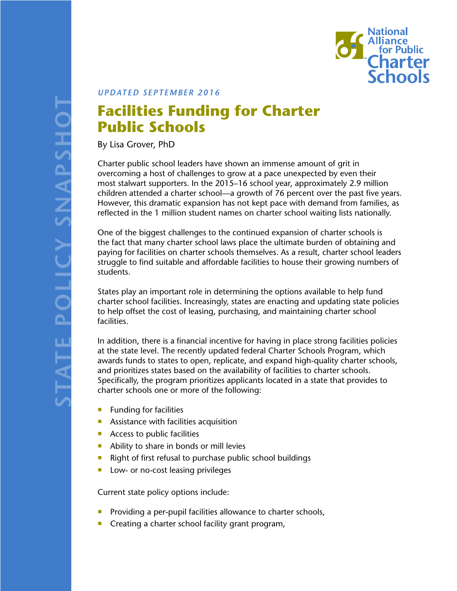

*UPDATED SEPTEMBER 2016*

## **Facilities Funding for Charter Public Schools**

By Lisa Grover, PhD

Charter public school leaders have shown an immense amount of grit in overcoming a host of challenges to grow at a pace unexpected by even their most stalwart supporters. In the 2015–16 school year, approximately 2.9 million children attended a charter school—a growth of 76 percent over the past five years. However, this dramatic expansion has not kept pace with demand from families, as reflected in the 1 million student names on charter school waiting lists nationally.

One of the biggest challenges to the continued expansion of charter schools is the fact that many charter school laws place the ultimate burden of obtaining and paying for facilities on charter schools themselves. As a result, charter school leaders struggle to find suitable and affordable facilities to house their growing numbers of students.

States play an important role in determining the options available to help fund charter school facilities. Increasingly, states are enacting and updating state policies to help offset the cost of leasing, purchasing, and maintaining charter school facilities.

In addition, there is a financial incentive for having in place strong facilities policies at the state level. The recently updated federal Charter Schools Program, which awards funds to states to open, replicate, and expand high-quality charter schools, and prioritizes states based on the availability of facilities to charter schools. Specifically, the program prioritizes applicants located in a state that provides to charter schools one or more of the following:

- $\blacksquare$  Funding for facilities
- **Assistance with facilities acquisition**
- Access to public facilities
- Ability to share in bonds or mill levies
- Right of first refusal to purchase public school buildings
- **Low- or no-cost leasing privileges**

Current state policy options include:

- **Providing a per-pupil facilities allowance to charter schools,**
- **Creating a charter school facility grant program,**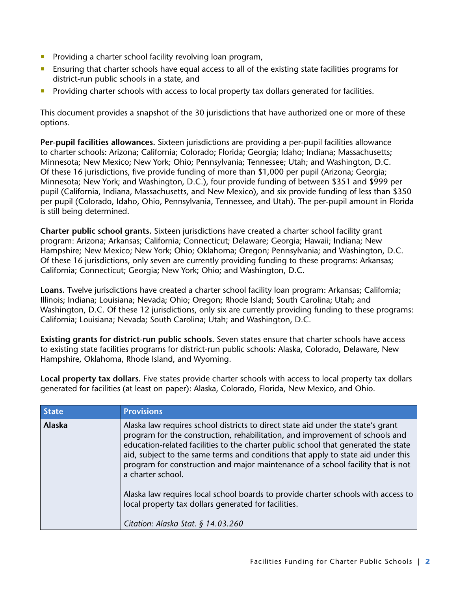- Providing a charter school facility revolving loan program,
- **E** Ensuring that charter schools have equal access to all of the existing state facilities programs for district-run public schools in a state, and
- **Providing charter schools with access to local property tax dollars generated for facilities.**

This document provides a snapshot of the 30 jurisdictions that have authorized one or more of these options.

**Per-pupil facilities allowances.** Sixteen jurisdictions are providing a per-pupil facilities allowance to charter schools: Arizona; California; Colorado; Florida; Georgia; Idaho; Indiana; Massachusetts; Minnesota; New Mexico; New York; Ohio; Pennsylvania; Tennessee; Utah; and Washington, D.C. Of these 16 jurisdictions, five provide funding of more than \$1,000 per pupil (Arizona; Georgia; Minnesota; New York; and Washington, D.C.), four provide funding of between \$351 and \$999 per pupil (California, Indiana, Massachusetts, and New Mexico), and six provide funding of less than \$350 per pupil (Colorado, Idaho, Ohio, Pennsylvania, Tennessee, and Utah). The per-pupil amount in Florida is still being determined.

**Charter public school grants.** Sixteen jurisdictions have created a charter school facility grant program: Arizona; Arkansas; California; Connecticut; Delaware; Georgia; Hawaii; Indiana; New Hampshire; New Mexico; New York; Ohio; Oklahoma; Oregon; Pennsylvania; and Washington, D.C. Of these 16 jurisdictions, only seven are currently providing funding to these programs: Arkansas; California; Connecticut; Georgia; New York; Ohio; and Washington, D.C.

**Loans.** Twelve jurisdictions have created a charter school facility loan program: Arkansas; California; Illinois; Indiana; Louisiana; Nevada; Ohio; Oregon; Rhode Island; South Carolina; Utah; and Washington, D.C. Of these 12 jurisdictions, only six are currently providing funding to these programs: California; Louisiana; Nevada; South Carolina; Utah; and Washington, D.C.

**Existing grants for district-run public schools.** Seven states ensure that charter schools have access to existing state facilities programs for district-run public schools: Alaska, Colorado, Delaware, New Hampshire, Oklahoma, Rhode Island, and Wyoming.

**Local property tax dollars.** Five states provide charter schools with access to local property tax dollars generated for facilities (at least on paper): Alaska, Colorado, Florida, New Mexico, and Ohio.

| <b>State</b>  | <b>Provisions</b>                                                                                                                                                                                                                                                                                                                                                                                                                                  |
|---------------|----------------------------------------------------------------------------------------------------------------------------------------------------------------------------------------------------------------------------------------------------------------------------------------------------------------------------------------------------------------------------------------------------------------------------------------------------|
| <b>Alaska</b> | Alaska law requires school districts to direct state aid under the state's grant<br>program for the construction, rehabilitation, and improvement of schools and<br>education-related facilities to the charter public school that generated the state<br>aid, subject to the same terms and conditions that apply to state aid under this<br>program for construction and major maintenance of a school facility that is not<br>a charter school. |
|               | Alaska law requires local school boards to provide charter schools with access to<br>local property tax dollars generated for facilities.<br>Citation: Alaska Stat. § 14.03.260                                                                                                                                                                                                                                                                    |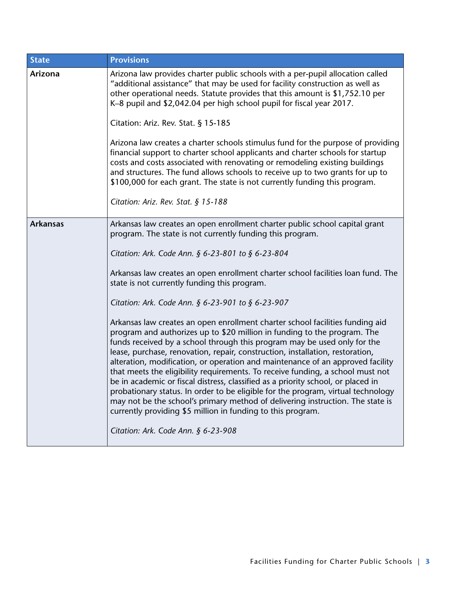| <b>State</b>    | <b>Provisions</b>                                                                                                                                                                                                                                                                                                                                                                                                                                                                                                                                                                                                                                                                                                                                                                                                   |
|-----------------|---------------------------------------------------------------------------------------------------------------------------------------------------------------------------------------------------------------------------------------------------------------------------------------------------------------------------------------------------------------------------------------------------------------------------------------------------------------------------------------------------------------------------------------------------------------------------------------------------------------------------------------------------------------------------------------------------------------------------------------------------------------------------------------------------------------------|
| Arizona         | Arizona law provides charter public schools with a per-pupil allocation called<br>"additional assistance" that may be used for facility construction as well as<br>other operational needs. Statute provides that this amount is \$1,752.10 per<br>K-8 pupil and \$2,042.04 per high school pupil for fiscal year 2017.                                                                                                                                                                                                                                                                                                                                                                                                                                                                                             |
|                 | Citation: Ariz. Rev. Stat. § 15-185                                                                                                                                                                                                                                                                                                                                                                                                                                                                                                                                                                                                                                                                                                                                                                                 |
|                 | Arizona law creates a charter schools stimulus fund for the purpose of providing<br>financial support to charter school applicants and charter schools for startup<br>costs and costs associated with renovating or remodeling existing buildings<br>and structures. The fund allows schools to receive up to two grants for up to<br>\$100,000 for each grant. The state is not currently funding this program.                                                                                                                                                                                                                                                                                                                                                                                                    |
|                 | Citation: Ariz. Rev. Stat. $§ 15-188$                                                                                                                                                                                                                                                                                                                                                                                                                                                                                                                                                                                                                                                                                                                                                                               |
| <b>Arkansas</b> | Arkansas law creates an open enrollment charter public school capital grant<br>program. The state is not currently funding this program.<br>Citation: Ark. Code Ann. § 6-23-801 to § 6-23-804<br>Arkansas law creates an open enrollment charter school facilities loan fund. The                                                                                                                                                                                                                                                                                                                                                                                                                                                                                                                                   |
|                 | state is not currently funding this program.                                                                                                                                                                                                                                                                                                                                                                                                                                                                                                                                                                                                                                                                                                                                                                        |
|                 | Citation: Ark. Code Ann. $\S$ 6-23-901 to $\S$ 6-23-907                                                                                                                                                                                                                                                                                                                                                                                                                                                                                                                                                                                                                                                                                                                                                             |
|                 | Arkansas law creates an open enrollment charter school facilities funding aid<br>program and authorizes up to \$20 million in funding to the program. The<br>funds received by a school through this program may be used only for the<br>lease, purchase, renovation, repair, construction, installation, restoration,<br>alteration, modification, or operation and maintenance of an approved facility<br>that meets the eligibility requirements. To receive funding, a school must not<br>be in academic or fiscal distress, classified as a priority school, or placed in<br>probationary status. In order to be eligible for the program, virtual technology<br>may not be the school's primary method of delivering instruction. The state is<br>currently providing \$5 million in funding to this program. |
|                 | Citation: Ark. Code Ann. § 6-23-908                                                                                                                                                                                                                                                                                                                                                                                                                                                                                                                                                                                                                                                                                                                                                                                 |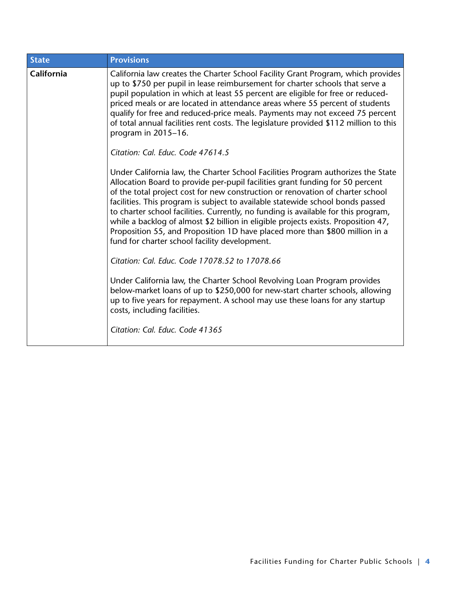| <b>State</b> | <b>Provisions</b>                                                                                                                                                                                                                                                                                                                                                                                                                                                                                                                                                                                                                                 |
|--------------|---------------------------------------------------------------------------------------------------------------------------------------------------------------------------------------------------------------------------------------------------------------------------------------------------------------------------------------------------------------------------------------------------------------------------------------------------------------------------------------------------------------------------------------------------------------------------------------------------------------------------------------------------|
| California   | California law creates the Charter School Facility Grant Program, which provides<br>up to \$750 per pupil in lease reimbursement for charter schools that serve a<br>pupil population in which at least 55 percent are eligible for free or reduced-<br>priced meals or are located in attendance areas where 55 percent of students<br>qualify for free and reduced-price meals. Payments may not exceed 75 percent<br>of total annual facilities rent costs. The legislature provided \$112 million to this<br>program in 2015-16.<br>Citation: Cal. Educ. Code 47614.5                                                                         |
|              | Under California law, the Charter School Facilities Program authorizes the State<br>Allocation Board to provide per-pupil facilities grant funding for 50 percent<br>of the total project cost for new construction or renovation of charter school<br>facilities. This program is subject to available statewide school bonds passed<br>to charter school facilities. Currently, no funding is available for this program,<br>while a backlog of almost \$2 billion in eligible projects exists. Proposition 47,<br>Proposition 55, and Proposition 1D have placed more than \$800 million in a<br>fund for charter school facility development. |
|              | Citation: Cal. Educ. Code 17078.52 to 17078.66                                                                                                                                                                                                                                                                                                                                                                                                                                                                                                                                                                                                    |
|              | Under California law, the Charter School Revolving Loan Program provides<br>below-market loans of up to \$250,000 for new-start charter schools, allowing<br>up to five years for repayment. A school may use these loans for any startup<br>costs, including facilities.                                                                                                                                                                                                                                                                                                                                                                         |
|              | Citation: Cal. Educ. Code 41365                                                                                                                                                                                                                                                                                                                                                                                                                                                                                                                                                                                                                   |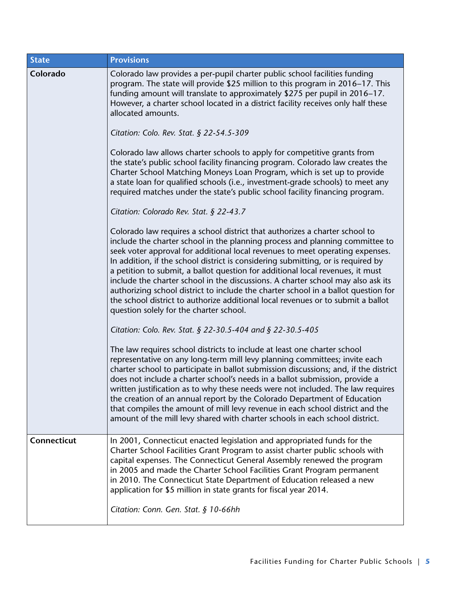| <b>State</b> | <b>Provisions</b>                                                                                                                                                                                                                                                                                                                                                                                                                                                                                                                                                                                                                                                                                                                                                      |
|--------------|------------------------------------------------------------------------------------------------------------------------------------------------------------------------------------------------------------------------------------------------------------------------------------------------------------------------------------------------------------------------------------------------------------------------------------------------------------------------------------------------------------------------------------------------------------------------------------------------------------------------------------------------------------------------------------------------------------------------------------------------------------------------|
| Colorado     | Colorado law provides a per-pupil charter public school facilities funding<br>program. The state will provide \$25 million to this program in 2016-17. This<br>funding amount will translate to approximately \$275 per pupil in 2016-17.<br>However, a charter school located in a district facility receives only half these<br>allocated amounts.<br>Citation: Colo. Rev. Stat. § 22-54.5-309                                                                                                                                                                                                                                                                                                                                                                       |
|              | Colorado law allows charter schools to apply for competitive grants from<br>the state's public school facility financing program. Colorado law creates the<br>Charter School Matching Moneys Loan Program, which is set up to provide<br>a state loan for qualified schools (i.e., investment-grade schools) to meet any<br>required matches under the state's public school facility financing program.                                                                                                                                                                                                                                                                                                                                                               |
|              | Citation: Colorado Rev. Stat. § 22-43.7<br>Colorado law requires a school district that authorizes a charter school to<br>include the charter school in the planning process and planning committee to<br>seek voter approval for additional local revenues to meet operating expenses.<br>In addition, if the school district is considering submitting, or is required by<br>a petition to submit, a ballot question for additional local revenues, it must<br>include the charter school in the discussions. A charter school may also ask its<br>authorizing school district to include the charter school in a ballot question for<br>the school district to authorize additional local revenues or to submit a ballot<br>question solely for the charter school. |
|              | Citation: Colo. Rev. Stat. § 22-30.5-404 and § 22-30.5-405<br>The law requires school districts to include at least one charter school<br>representative on any long-term mill levy planning committees; invite each<br>charter school to participate in ballot submission discussions; and, if the district<br>does not include a charter school's needs in a ballot submission, provide a<br>written justification as to why these needs were not included. The law requires<br>the creation of an annual report by the Colorado Department of Education<br>that compiles the amount of mill levy revenue in each school district and the<br>amount of the mill levy shared with charter schools in each school district.                                            |
| Connecticut  | In 2001, Connecticut enacted legislation and appropriated funds for the<br>Charter School Facilities Grant Program to assist charter public schools with<br>capital expenses. The Connecticut General Assembly renewed the program<br>in 2005 and made the Charter School Facilities Grant Program permanent<br>in 2010. The Connecticut State Department of Education released a new<br>application for \$5 million in state grants for fiscal year 2014.<br>Citation: Conn. Gen. Stat. § 10-66hh                                                                                                                                                                                                                                                                     |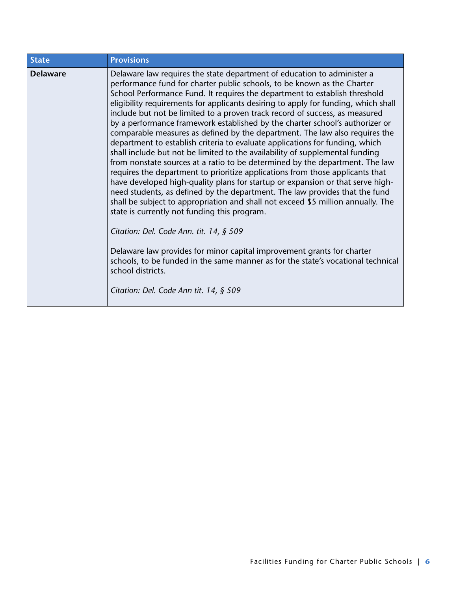| <b>State</b>    | <b>Provisions</b>                                                                                                                                                                                                                                                                                                                                                                                                                                                                                                                                                                                                                                                                                                                                                                                                                                                                                                                                                                                                                                                                                                                                                                                                                                                                                                                                                                                                                                                                  |
|-----------------|------------------------------------------------------------------------------------------------------------------------------------------------------------------------------------------------------------------------------------------------------------------------------------------------------------------------------------------------------------------------------------------------------------------------------------------------------------------------------------------------------------------------------------------------------------------------------------------------------------------------------------------------------------------------------------------------------------------------------------------------------------------------------------------------------------------------------------------------------------------------------------------------------------------------------------------------------------------------------------------------------------------------------------------------------------------------------------------------------------------------------------------------------------------------------------------------------------------------------------------------------------------------------------------------------------------------------------------------------------------------------------------------------------------------------------------------------------------------------------|
| <b>Delaware</b> | Delaware law requires the state department of education to administer a<br>performance fund for charter public schools, to be known as the Charter<br>School Performance Fund. It requires the department to establish threshold<br>eligibility requirements for applicants desiring to apply for funding, which shall<br>include but not be limited to a proven track record of success, as measured<br>by a performance framework established by the charter school's authorizer or<br>comparable measures as defined by the department. The law also requires the<br>department to establish criteria to evaluate applications for funding, which<br>shall include but not be limited to the availability of supplemental funding<br>from nonstate sources at a ratio to be determined by the department. The law<br>requires the department to prioritize applications from those applicants that<br>have developed high-quality plans for startup or expansion or that serve high-<br>need students, as defined by the department. The law provides that the fund<br>shall be subject to appropriation and shall not exceed \$5 million annually. The<br>state is currently not funding this program.<br>Citation: Del. Code Ann. tit. 14, § 509<br>Delaware law provides for minor capital improvement grants for charter<br>schools, to be funded in the same manner as for the state's vocational technical<br>school districts.<br>Citation: Del. Code Ann tit. 14, § 509 |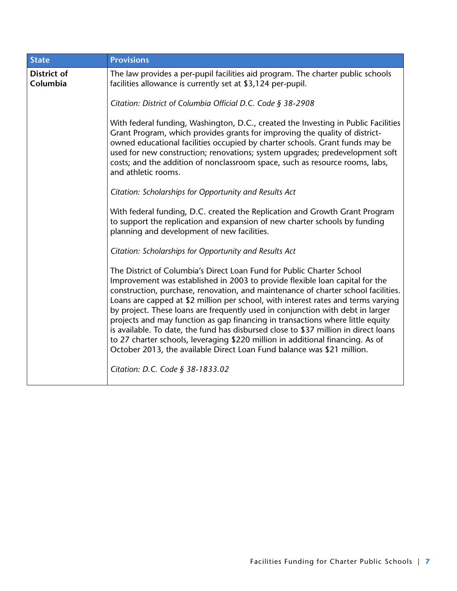| <b>State</b>                   | <b>Provisions</b>                                                                                                                                                                                                                                                                                                                                                                                                                                                                                                                                                                                                                                                                                                                                                                          |
|--------------------------------|--------------------------------------------------------------------------------------------------------------------------------------------------------------------------------------------------------------------------------------------------------------------------------------------------------------------------------------------------------------------------------------------------------------------------------------------------------------------------------------------------------------------------------------------------------------------------------------------------------------------------------------------------------------------------------------------------------------------------------------------------------------------------------------------|
| <b>District of</b><br>Columbia | The law provides a per-pupil facilities aid program. The charter public schools<br>facilities allowance is currently set at \$3,124 per-pupil.                                                                                                                                                                                                                                                                                                                                                                                                                                                                                                                                                                                                                                             |
|                                | Citation: District of Columbia Official D.C. Code § 38-2908                                                                                                                                                                                                                                                                                                                                                                                                                                                                                                                                                                                                                                                                                                                                |
|                                | With federal funding, Washington, D.C., created the Investing in Public Facilities<br>Grant Program, which provides grants for improving the quality of district-<br>owned educational facilities occupied by charter schools. Grant funds may be<br>used for new construction; renovations; system upgrades; predevelopment soft<br>costs; and the addition of nonclassroom space, such as resource rooms, labs,<br>and athletic rooms.                                                                                                                                                                                                                                                                                                                                                   |
|                                | Citation: Scholarships for Opportunity and Results Act                                                                                                                                                                                                                                                                                                                                                                                                                                                                                                                                                                                                                                                                                                                                     |
|                                | With federal funding, D.C. created the Replication and Growth Grant Program<br>to support the replication and expansion of new charter schools by funding<br>planning and development of new facilities.                                                                                                                                                                                                                                                                                                                                                                                                                                                                                                                                                                                   |
|                                | Citation: Scholarships for Opportunity and Results Act                                                                                                                                                                                                                                                                                                                                                                                                                                                                                                                                                                                                                                                                                                                                     |
|                                | The District of Columbia's Direct Loan Fund for Public Charter School<br>Improvement was established in 2003 to provide flexible loan capital for the<br>construction, purchase, renovation, and maintenance of charter school facilities.<br>Loans are capped at \$2 million per school, with interest rates and terms varying<br>by project. These loans are frequently used in conjunction with debt in larger<br>projects and may function as gap financing in transactions where little equity<br>is available. To date, the fund has disbursed close to \$37 million in direct loans<br>to 27 charter schools, leveraging \$220 million in additional financing. As of<br>October 2013, the available Direct Loan Fund balance was \$21 million.<br>Citation: D.C. Code § 38-1833.02 |
|                                |                                                                                                                                                                                                                                                                                                                                                                                                                                                                                                                                                                                                                                                                                                                                                                                            |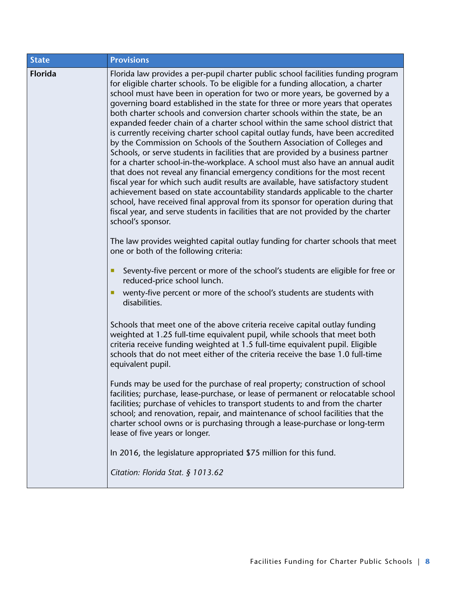| <b>State</b>   | <b>Provisions</b>                                                                                                                                                                                                                                                                                                                                                                                                                                                                                                                                                                                                                                                                                                                                                                                                                                                                                                                                                                                                                                                                                                                                                                                                                                                                               |
|----------------|-------------------------------------------------------------------------------------------------------------------------------------------------------------------------------------------------------------------------------------------------------------------------------------------------------------------------------------------------------------------------------------------------------------------------------------------------------------------------------------------------------------------------------------------------------------------------------------------------------------------------------------------------------------------------------------------------------------------------------------------------------------------------------------------------------------------------------------------------------------------------------------------------------------------------------------------------------------------------------------------------------------------------------------------------------------------------------------------------------------------------------------------------------------------------------------------------------------------------------------------------------------------------------------------------|
| <b>Florida</b> | Florida law provides a per-pupil charter public school facilities funding program<br>for eligible charter schools. To be eligible for a funding allocation, a charter<br>school must have been in operation for two or more years, be governed by a<br>governing board established in the state for three or more years that operates<br>both charter schools and conversion charter schools within the state, be an<br>expanded feeder chain of a charter school within the same school district that<br>is currently receiving charter school capital outlay funds, have been accredited<br>by the Commission on Schools of the Southern Association of Colleges and<br>Schools, or serve students in facilities that are provided by a business partner<br>for a charter school-in-the-workplace. A school must also have an annual audit<br>that does not reveal any financial emergency conditions for the most recent<br>fiscal year for which such audit results are available, have satisfactory student<br>achievement based on state accountability standards applicable to the charter<br>school, have received final approval from its sponsor for operation during that<br>fiscal year, and serve students in facilities that are not provided by the charter<br>school's sponsor. |
|                | The law provides weighted capital outlay funding for charter schools that meet<br>one or both of the following criteria:                                                                                                                                                                                                                                                                                                                                                                                                                                                                                                                                                                                                                                                                                                                                                                                                                                                                                                                                                                                                                                                                                                                                                                        |
|                | Seventy-five percent or more of the school's students are eligible for free or<br>п<br>reduced-price school lunch.                                                                                                                                                                                                                                                                                                                                                                                                                                                                                                                                                                                                                                                                                                                                                                                                                                                                                                                                                                                                                                                                                                                                                                              |
|                | wenty-five percent or more of the school's students are students with<br>disabilities.                                                                                                                                                                                                                                                                                                                                                                                                                                                                                                                                                                                                                                                                                                                                                                                                                                                                                                                                                                                                                                                                                                                                                                                                          |
|                | Schools that meet one of the above criteria receive capital outlay funding<br>weighted at 1.25 full-time equivalent pupil, while schools that meet both<br>criteria receive funding weighted at 1.5 full-time equivalent pupil. Eligible<br>schools that do not meet either of the criteria receive the base 1.0 full-time<br>equivalent pupil.                                                                                                                                                                                                                                                                                                                                                                                                                                                                                                                                                                                                                                                                                                                                                                                                                                                                                                                                                 |
|                | Funds may be used for the purchase of real property; construction of school<br>facilities; purchase, lease-purchase, or lease of permanent or relocatable school<br>facilities; purchase of vehicles to transport students to and from the charter<br>school; and renovation, repair, and maintenance of school facilities that the<br>charter school owns or is purchasing through a lease-purchase or long-term<br>lease of five years or longer.                                                                                                                                                                                                                                                                                                                                                                                                                                                                                                                                                                                                                                                                                                                                                                                                                                             |
|                | In 2016, the legislature appropriated \$75 million for this fund.                                                                                                                                                                                                                                                                                                                                                                                                                                                                                                                                                                                                                                                                                                                                                                                                                                                                                                                                                                                                                                                                                                                                                                                                                               |
|                | Citation: Florida Stat. § 1013.62                                                                                                                                                                                                                                                                                                                                                                                                                                                                                                                                                                                                                                                                                                                                                                                                                                                                                                                                                                                                                                                                                                                                                                                                                                                               |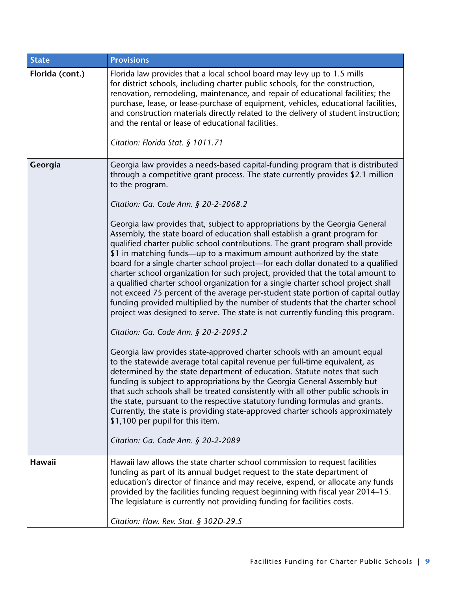| <b>State</b>    | <b>Provisions</b>                                                                                                                                                                                                                                                                                                                                                                                                                                                                                                                                                                                                                                                                                                                                                                                                                                                                                                                                                                                                                                                                                                                                                                                                                                                                                                                                                                                                                                                                                                                                                                                                                                                                                                                                                     |
|-----------------|-----------------------------------------------------------------------------------------------------------------------------------------------------------------------------------------------------------------------------------------------------------------------------------------------------------------------------------------------------------------------------------------------------------------------------------------------------------------------------------------------------------------------------------------------------------------------------------------------------------------------------------------------------------------------------------------------------------------------------------------------------------------------------------------------------------------------------------------------------------------------------------------------------------------------------------------------------------------------------------------------------------------------------------------------------------------------------------------------------------------------------------------------------------------------------------------------------------------------------------------------------------------------------------------------------------------------------------------------------------------------------------------------------------------------------------------------------------------------------------------------------------------------------------------------------------------------------------------------------------------------------------------------------------------------------------------------------------------------------------------------------------------------|
| Florida (cont.) | Florida law provides that a local school board may levy up to 1.5 mills<br>for district schools, including charter public schools, for the construction,<br>renovation, remodeling, maintenance, and repair of educational facilities; the<br>purchase, lease, or lease-purchase of equipment, vehicles, educational facilities,<br>and construction materials directly related to the delivery of student instruction;<br>and the rental or lease of educational facilities.<br>Citation: Florida Stat. § 1011.71                                                                                                                                                                                                                                                                                                                                                                                                                                                                                                                                                                                                                                                                                                                                                                                                                                                                                                                                                                                                                                                                                                                                                                                                                                                    |
| Georgia         | Georgia law provides a needs-based capital-funding program that is distributed<br>through a competitive grant process. The state currently provides \$2.1 million<br>to the program.<br>Citation: Ga. Code Ann. § 20-2-2068.2<br>Georgia law provides that, subject to appropriations by the Georgia General<br>Assembly, the state board of education shall establish a grant program for<br>qualified charter public school contributions. The grant program shall provide<br>\$1 in matching funds—up to a maximum amount authorized by the state<br>board for a single charter school project—for each dollar donated to a qualified<br>charter school organization for such project, provided that the total amount to<br>a qualified charter school organization for a single charter school project shall<br>not exceed 75 percent of the average per-student state portion of capital outlay<br>funding provided multiplied by the number of students that the charter school<br>project was designed to serve. The state is not currently funding this program.<br>Citation: Ga. Code Ann. § 20-2-2095.2<br>Georgia law provides state-approved charter schools with an amount equal<br>to the statewide average total capital revenue per full-time equivalent, as<br>determined by the state department of education. Statute notes that such<br>funding is subject to appropriations by the Georgia General Assembly but<br>that such schools shall be treated consistently with all other public schools in<br>the state, pursuant to the respective statutory funding formulas and grants.<br>Currently, the state is providing state-approved charter schools approximately<br>\$1,100 per pupil for this item.<br>Citation: Ga. Code Ann. § 20-2-2089 |
| Hawaii          | Hawaii law allows the state charter school commission to request facilities<br>funding as part of its annual budget request to the state department of<br>education's director of finance and may receive, expend, or allocate any funds<br>provided by the facilities funding request beginning with fiscal year 2014–15.<br>The legislature is currently not providing funding for facilities costs.<br>Citation: Haw. Rev. Stat. $\S$ 302D-29.5                                                                                                                                                                                                                                                                                                                                                                                                                                                                                                                                                                                                                                                                                                                                                                                                                                                                                                                                                                                                                                                                                                                                                                                                                                                                                                                    |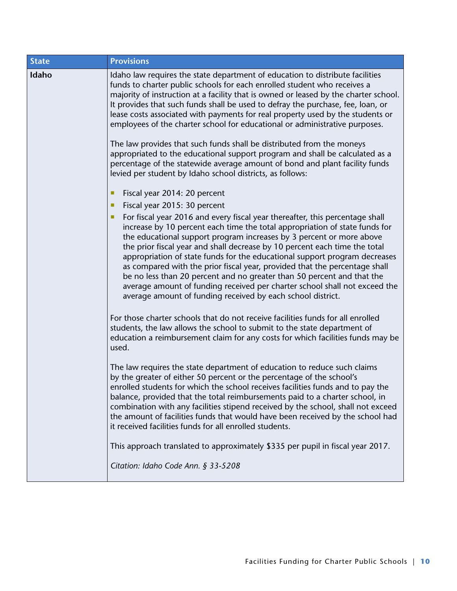| <b>State</b> | <b>Provisions</b>                                                                                                                                                                                                                                                                                                                                                                                                                                                                                                                                                                                                                                                                                    |
|--------------|------------------------------------------------------------------------------------------------------------------------------------------------------------------------------------------------------------------------------------------------------------------------------------------------------------------------------------------------------------------------------------------------------------------------------------------------------------------------------------------------------------------------------------------------------------------------------------------------------------------------------------------------------------------------------------------------------|
| Idaho        | Idaho law requires the state department of education to distribute facilities<br>funds to charter public schools for each enrolled student who receives a<br>majority of instruction at a facility that is owned or leased by the charter school.<br>It provides that such funds shall be used to defray the purchase, fee, loan, or<br>lease costs associated with payments for real property used by the students or<br>employees of the charter school for educational or administrative purposes.                                                                                                                                                                                                |
|              | The law provides that such funds shall be distributed from the moneys<br>appropriated to the educational support program and shall be calculated as a<br>percentage of the statewide average amount of bond and plant facility funds<br>levied per student by Idaho school districts, as follows:                                                                                                                                                                                                                                                                                                                                                                                                    |
|              | Fiscal year 2014: 20 percent<br>п                                                                                                                                                                                                                                                                                                                                                                                                                                                                                                                                                                                                                                                                    |
|              | Fiscal year 2015: 30 percent                                                                                                                                                                                                                                                                                                                                                                                                                                                                                                                                                                                                                                                                         |
|              | For fiscal year 2016 and every fiscal year thereafter, this percentage shall<br>increase by 10 percent each time the total appropriation of state funds for<br>the educational support program increases by 3 percent or more above<br>the prior fiscal year and shall decrease by 10 percent each time the total<br>appropriation of state funds for the educational support program decreases<br>as compared with the prior fiscal year, provided that the percentage shall<br>be no less than 20 percent and no greater than 50 percent and that the<br>average amount of funding received per charter school shall not exceed the<br>average amount of funding received by each school district. |
|              | For those charter schools that do not receive facilities funds for all enrolled<br>students, the law allows the school to submit to the state department of<br>education a reimbursement claim for any costs for which facilities funds may be<br>used.                                                                                                                                                                                                                                                                                                                                                                                                                                              |
|              | The law requires the state department of education to reduce such claims<br>by the greater of either 50 percent or the percentage of the school's<br>enrolled students for which the school receives facilities funds and to pay the<br>balance, provided that the total reimbursements paid to a charter school, in<br>combination with any facilities stipend received by the school, shall not exceed<br>the amount of facilities funds that would have been received by the school had<br>it received facilities funds for all enrolled students.                                                                                                                                                |
|              | This approach translated to approximately \$335 per pupil in fiscal year 2017.<br>Citation: Idaho Code Ann. § 33-5208                                                                                                                                                                                                                                                                                                                                                                                                                                                                                                                                                                                |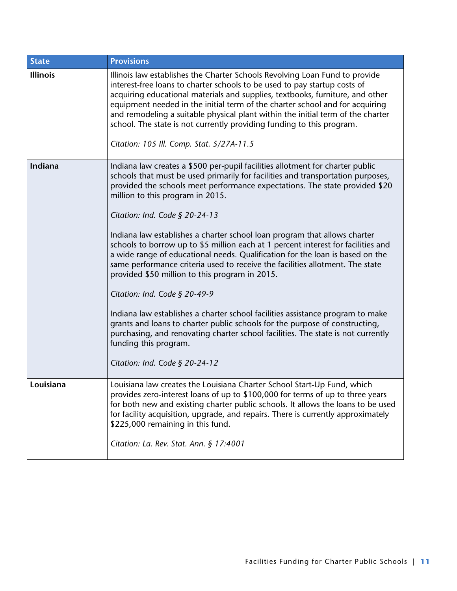| <b>State</b>    | <b>Provisions</b>                                                                                                                                                                                                                                                                                                                                                                                                                                                                                                                  |
|-----------------|------------------------------------------------------------------------------------------------------------------------------------------------------------------------------------------------------------------------------------------------------------------------------------------------------------------------------------------------------------------------------------------------------------------------------------------------------------------------------------------------------------------------------------|
| <b>Illinois</b> | Illinois law establishes the Charter Schools Revolving Loan Fund to provide<br>interest-free loans to charter schools to be used to pay startup costs of<br>acquiring educational materials and supplies, textbooks, furniture, and other<br>equipment needed in the initial term of the charter school and for acquiring<br>and remodeling a suitable physical plant within the initial term of the charter<br>school. The state is not currently providing funding to this program.<br>Citation: 105 Ill. Comp. Stat. 5/27A-11.5 |
|                 |                                                                                                                                                                                                                                                                                                                                                                                                                                                                                                                                    |
| Indiana         | Indiana law creates a \$500 per-pupil facilities allotment for charter public<br>schools that must be used primarily for facilities and transportation purposes,<br>provided the schools meet performance expectations. The state provided \$20<br>million to this program in 2015.                                                                                                                                                                                                                                                |
|                 | Citation: Ind. Code $\S$ 20-24-13                                                                                                                                                                                                                                                                                                                                                                                                                                                                                                  |
|                 | Indiana law establishes a charter school loan program that allows charter<br>schools to borrow up to \$5 million each at 1 percent interest for facilities and<br>a wide range of educational needs. Qualification for the loan is based on the<br>same performance criteria used to receive the facilities allotment. The state<br>provided \$50 million to this program in 2015.                                                                                                                                                 |
|                 | Citation: Ind. Code $\S$ 20-49-9                                                                                                                                                                                                                                                                                                                                                                                                                                                                                                   |
|                 | Indiana law establishes a charter school facilities assistance program to make<br>grants and loans to charter public schools for the purpose of constructing,<br>purchasing, and renovating charter school facilities. The state is not currently<br>funding this program.                                                                                                                                                                                                                                                         |
|                 | Citation: Ind. Code § 20-24-12                                                                                                                                                                                                                                                                                                                                                                                                                                                                                                     |
| Louisiana       | Louisiana law creates the Louisiana Charter School Start-Up Fund, which<br>provides zero-interest loans of up to \$100,000 for terms of up to three years<br>for both new and existing charter public schools. It allows the loans to be used<br>for facility acquisition, upgrade, and repairs. There is currently approximately<br>\$225,000 remaining in this fund.<br>Citation: La. Rev. Stat. Ann. § 17:4001                                                                                                                  |
|                 |                                                                                                                                                                                                                                                                                                                                                                                                                                                                                                                                    |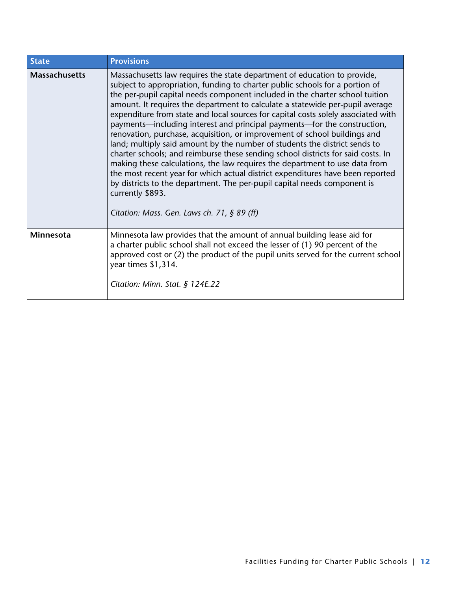| <b>State</b>         | <b>Provisions</b>                                                                                                                                                                                                                                                                                                                                                                                                                                                                                                                                                                                                                                                                                                                                                                                                                                                                                                                                                                                                                                            |
|----------------------|--------------------------------------------------------------------------------------------------------------------------------------------------------------------------------------------------------------------------------------------------------------------------------------------------------------------------------------------------------------------------------------------------------------------------------------------------------------------------------------------------------------------------------------------------------------------------------------------------------------------------------------------------------------------------------------------------------------------------------------------------------------------------------------------------------------------------------------------------------------------------------------------------------------------------------------------------------------------------------------------------------------------------------------------------------------|
| <b>Massachusetts</b> | Massachusetts law requires the state department of education to provide,<br>subject to appropriation, funding to charter public schools for a portion of<br>the per-pupil capital needs component included in the charter school tuition<br>amount. It requires the department to calculate a statewide per-pupil average<br>expenditure from state and local sources for capital costs solely associated with<br>payments—including interest and principal payments—for the construction,<br>renovation, purchase, acquisition, or improvement of school buildings and<br>land; multiply said amount by the number of students the district sends to<br>charter schools; and reimburse these sending school districts for said costs. In<br>making these calculations, the law requires the department to use data from<br>the most recent year for which actual district expenditures have been reported<br>by districts to the department. The per-pupil capital needs component is<br>currently \$893.<br>Citation: Mass. Gen. Laws ch. 71, $\S$ 89 (ff) |
| <b>Minnesota</b>     | Minnesota law provides that the amount of annual building lease aid for<br>a charter public school shall not exceed the lesser of (1) 90 percent of the<br>approved cost or (2) the product of the pupil units served for the current school<br>year times \$1,314.<br>Citation: Minn. Stat. § $124E.22$                                                                                                                                                                                                                                                                                                                                                                                                                                                                                                                                                                                                                                                                                                                                                     |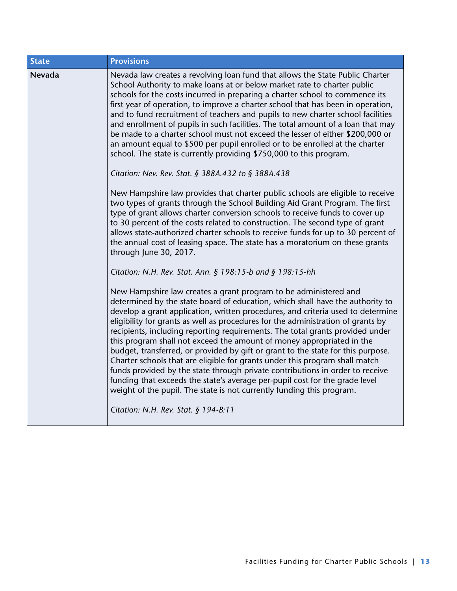| <b>State</b> | <b>Provisions</b>                                                                                                                                                                                                                                                                                                                                                                                                                                                                                                                                                                                                                                                                                                                                                                                                                                                                              |
|--------------|------------------------------------------------------------------------------------------------------------------------------------------------------------------------------------------------------------------------------------------------------------------------------------------------------------------------------------------------------------------------------------------------------------------------------------------------------------------------------------------------------------------------------------------------------------------------------------------------------------------------------------------------------------------------------------------------------------------------------------------------------------------------------------------------------------------------------------------------------------------------------------------------|
| Nevada       | Nevada law creates a revolving loan fund that allows the State Public Charter<br>School Authority to make loans at or below market rate to charter public<br>schools for the costs incurred in preparing a charter school to commence its<br>first year of operation, to improve a charter school that has been in operation,<br>and to fund recruitment of teachers and pupils to new charter school facilities<br>and enrollment of pupils in such facilities. The total amount of a loan that may<br>be made to a charter school must not exceed the lesser of either \$200,000 or<br>an amount equal to \$500 per pupil enrolled or to be enrolled at the charter<br>school. The state is currently providing \$750,000 to this program.                                                                                                                                                   |
|              | Citation: Nev. Rev. Stat. § 388A.432 to § 388A.438                                                                                                                                                                                                                                                                                                                                                                                                                                                                                                                                                                                                                                                                                                                                                                                                                                             |
|              | New Hampshire law provides that charter public schools are eligible to receive<br>two types of grants through the School Building Aid Grant Program. The first<br>type of grant allows charter conversion schools to receive funds to cover up<br>to 30 percent of the costs related to construction. The second type of grant<br>allows state-authorized charter schools to receive funds for up to 30 percent of<br>the annual cost of leasing space. The state has a moratorium on these grants<br>through June 30, 2017.                                                                                                                                                                                                                                                                                                                                                                   |
|              | Citation: N.H. Rev. Stat. Ann. § 198:15-b and § 198:15-hh                                                                                                                                                                                                                                                                                                                                                                                                                                                                                                                                                                                                                                                                                                                                                                                                                                      |
|              | New Hampshire law creates a grant program to be administered and<br>determined by the state board of education, which shall have the authority to<br>develop a grant application, written procedures, and criteria used to determine<br>eligibility for grants as well as procedures for the administration of grants by<br>recipients, including reporting requirements. The total grants provided under<br>this program shall not exceed the amount of money appropriated in the<br>budget, transferred, or provided by gift or grant to the state for this purpose.<br>Charter schools that are eligible for grants under this program shall match<br>funds provided by the state through private contributions in order to receive<br>funding that exceeds the state's average per-pupil cost for the grade level<br>weight of the pupil. The state is not currently funding this program. |
|              | Citation: N.H. Rev. Stat. § 194-B:11                                                                                                                                                                                                                                                                                                                                                                                                                                                                                                                                                                                                                                                                                                                                                                                                                                                           |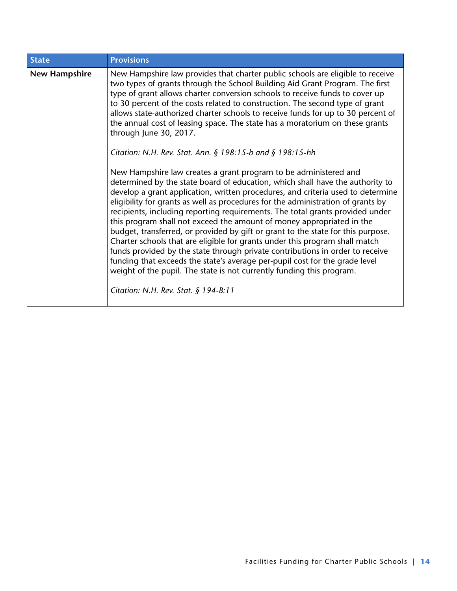| <b>State</b>         | <b>Provisions</b>                                                                                                                                                                                                                                                                                                                                                                                                                                                                                                                                                                                                                                                                                                                                                                                                                                                                                                                      |
|----------------------|----------------------------------------------------------------------------------------------------------------------------------------------------------------------------------------------------------------------------------------------------------------------------------------------------------------------------------------------------------------------------------------------------------------------------------------------------------------------------------------------------------------------------------------------------------------------------------------------------------------------------------------------------------------------------------------------------------------------------------------------------------------------------------------------------------------------------------------------------------------------------------------------------------------------------------------|
| <b>New Hampshire</b> | New Hampshire law provides that charter public schools are eligible to receive<br>two types of grants through the School Building Aid Grant Program. The first<br>type of grant allows charter conversion schools to receive funds to cover up<br>to 30 percent of the costs related to construction. The second type of grant<br>allows state-authorized charter schools to receive funds for up to 30 percent of<br>the annual cost of leasing space. The state has a moratorium on these grants<br>through June 30, 2017.<br>Citation: N.H. Rev. Stat. Ann. § 198:15-b and § 198:15-hh                                                                                                                                                                                                                                                                                                                                              |
|                      | New Hampshire law creates a grant program to be administered and<br>determined by the state board of education, which shall have the authority to<br>develop a grant application, written procedures, and criteria used to determine<br>eligibility for grants as well as procedures for the administration of grants by<br>recipients, including reporting requirements. The total grants provided under<br>this program shall not exceed the amount of money appropriated in the<br>budget, transferred, or provided by gift or grant to the state for this purpose.<br>Charter schools that are eligible for grants under this program shall match<br>funds provided by the state through private contributions in order to receive<br>funding that exceeds the state's average per-pupil cost for the grade level<br>weight of the pupil. The state is not currently funding this program.<br>Citation: N.H. Rev. Stat. § 194-B:11 |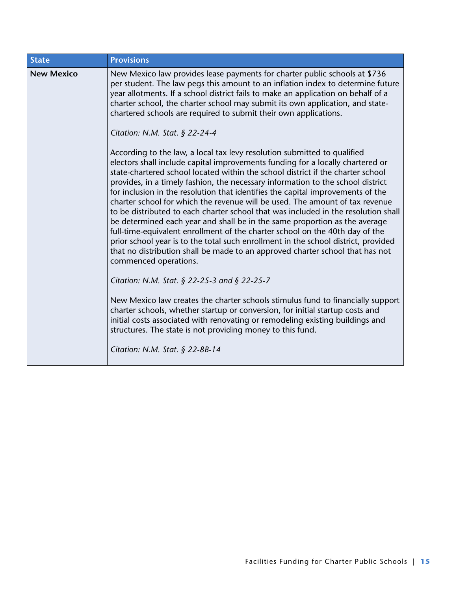| <b>State</b>      | <b>Provisions</b>                                                                                                                                                                                                                                                                                                                                                                                                                                                                                                                                                                                                                                                                                                                                                                                                                                                                                                                                       |
|-------------------|---------------------------------------------------------------------------------------------------------------------------------------------------------------------------------------------------------------------------------------------------------------------------------------------------------------------------------------------------------------------------------------------------------------------------------------------------------------------------------------------------------------------------------------------------------------------------------------------------------------------------------------------------------------------------------------------------------------------------------------------------------------------------------------------------------------------------------------------------------------------------------------------------------------------------------------------------------|
| <b>New Mexico</b> | New Mexico law provides lease payments for charter public schools at \$736<br>per student. The law pegs this amount to an inflation index to determine future<br>year allotments. If a school district fails to make an application on behalf of a<br>charter school, the charter school may submit its own application, and state-<br>chartered schools are required to submit their own applications.                                                                                                                                                                                                                                                                                                                                                                                                                                                                                                                                                 |
|                   | Citation: N.M. Stat. § 22-24-4                                                                                                                                                                                                                                                                                                                                                                                                                                                                                                                                                                                                                                                                                                                                                                                                                                                                                                                          |
|                   | According to the law, a local tax levy resolution submitted to qualified<br>electors shall include capital improvements funding for a locally chartered or<br>state-chartered school located within the school district if the charter school<br>provides, in a timely fashion, the necessary information to the school district<br>for inclusion in the resolution that identifies the capital improvements of the<br>charter school for which the revenue will be used. The amount of tax revenue<br>to be distributed to each charter school that was included in the resolution shall<br>be determined each year and shall be in the same proportion as the average<br>full-time-equivalent enrollment of the charter school on the 40th day of the<br>prior school year is to the total such enrollment in the school district, provided<br>that no distribution shall be made to an approved charter school that has not<br>commenced operations. |
|                   | Citation: N.M. Stat. § 22-25-3 and § 22-25-7                                                                                                                                                                                                                                                                                                                                                                                                                                                                                                                                                                                                                                                                                                                                                                                                                                                                                                            |
|                   | New Mexico law creates the charter schools stimulus fund to financially support<br>charter schools, whether startup or conversion, for initial startup costs and<br>initial costs associated with renovating or remodeling existing buildings and<br>structures. The state is not providing money to this fund.                                                                                                                                                                                                                                                                                                                                                                                                                                                                                                                                                                                                                                         |
|                   | Citation: N.M. Stat. $\S$ 22-8B-14                                                                                                                                                                                                                                                                                                                                                                                                                                                                                                                                                                                                                                                                                                                                                                                                                                                                                                                      |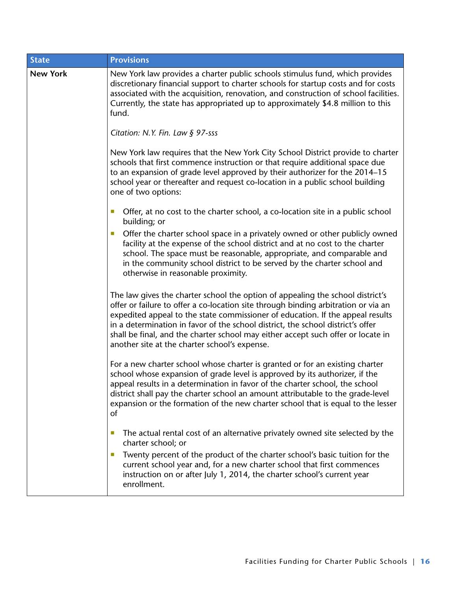| <b>State</b>    | <b>Provisions</b>                                                                                                                                                                                                                                                                                                                                                                                                                                                              |
|-----------------|--------------------------------------------------------------------------------------------------------------------------------------------------------------------------------------------------------------------------------------------------------------------------------------------------------------------------------------------------------------------------------------------------------------------------------------------------------------------------------|
| <b>New York</b> | New York law provides a charter public schools stimulus fund, which provides<br>discretionary financial support to charter schools for startup costs and for costs<br>associated with the acquisition, renovation, and construction of school facilities.<br>Currently, the state has appropriated up to approximately \$4.8 million to this<br>fund.                                                                                                                          |
|                 | Citation: N.Y. Fin. Law § 97-sss                                                                                                                                                                                                                                                                                                                                                                                                                                               |
|                 | New York law requires that the New York City School District provide to charter<br>schools that first commence instruction or that require additional space due<br>to an expansion of grade level approved by their authorizer for the 2014-15<br>school year or thereafter and request co-location in a public school building<br>one of two options:                                                                                                                         |
|                 | Offer, at no cost to the charter school, a co-location site in a public school<br>building; or                                                                                                                                                                                                                                                                                                                                                                                 |
|                 | Offer the charter school space in a privately owned or other publicly owned<br>facility at the expense of the school district and at no cost to the charter<br>school. The space must be reasonable, appropriate, and comparable and<br>in the community school district to be served by the charter school and<br>otherwise in reasonable proximity.                                                                                                                          |
|                 | The law gives the charter school the option of appealing the school district's<br>offer or failure to offer a co-location site through binding arbitration or via an<br>expedited appeal to the state commissioner of education. If the appeal results<br>in a determination in favor of the school district, the school district's offer<br>shall be final, and the charter school may either accept such offer or locate in<br>another site at the charter school's expense. |
|                 | For a new charter school whose charter is granted or for an existing charter<br>school whose expansion of grade level is approved by its authorizer, if the<br>appeal results in a determination in favor of the charter school, the school<br>district shall pay the charter school an amount attributable to the grade-level<br>expansion or the formation of the new charter school that is equal to the lesser<br>οf                                                       |
|                 | The actual rental cost of an alternative privately owned site selected by the<br>ш<br>charter school; or                                                                                                                                                                                                                                                                                                                                                                       |
|                 | Twenty percent of the product of the charter school's basic tuition for the<br>ш<br>current school year and, for a new charter school that first commences<br>instruction on or after July 1, 2014, the charter school's current year<br>enrollment.                                                                                                                                                                                                                           |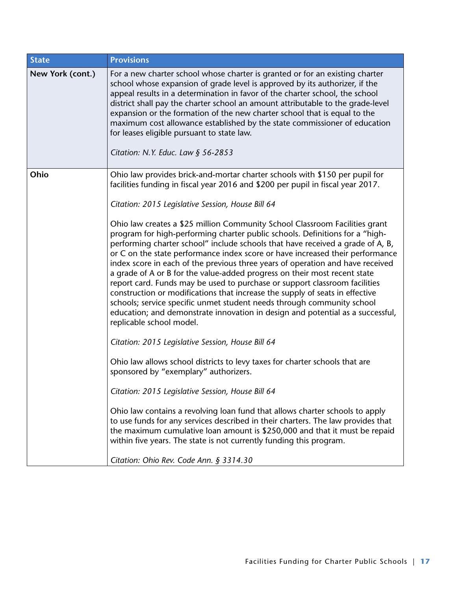| <b>State</b>     | <b>Provisions</b>                                                                                                                                                                                                                                                                                                                                                                                                                                                                                                                                                                                                                                                                                                                                                                                                                                   |
|------------------|-----------------------------------------------------------------------------------------------------------------------------------------------------------------------------------------------------------------------------------------------------------------------------------------------------------------------------------------------------------------------------------------------------------------------------------------------------------------------------------------------------------------------------------------------------------------------------------------------------------------------------------------------------------------------------------------------------------------------------------------------------------------------------------------------------------------------------------------------------|
| New York (cont.) | For a new charter school whose charter is granted or for an existing charter<br>school whose expansion of grade level is approved by its authorizer, if the<br>appeal results in a determination in favor of the charter school, the school<br>district shall pay the charter school an amount attributable to the grade-level<br>expansion or the formation of the new charter school that is equal to the<br>maximum cost allowance established by the state commissioner of education<br>for leases eligible pursuant to state law.<br>Citation: N.Y. Educ. Law § 56-2853                                                                                                                                                                                                                                                                        |
| Ohio             | Ohio law provides brick-and-mortar charter schools with \$150 per pupil for<br>facilities funding in fiscal year 2016 and \$200 per pupil in fiscal year 2017.                                                                                                                                                                                                                                                                                                                                                                                                                                                                                                                                                                                                                                                                                      |
|                  | Citation: 2015 Legislative Session, House Bill 64                                                                                                                                                                                                                                                                                                                                                                                                                                                                                                                                                                                                                                                                                                                                                                                                   |
|                  | Ohio law creates a \$25 million Community School Classroom Facilities grant<br>program for high-performing charter public schools. Definitions for a "high-<br>performing charter school" include schools that have received a grade of A, B,<br>or C on the state performance index score or have increased their performance<br>index score in each of the previous three years of operation and have received<br>a grade of A or B for the value-added progress on their most recent state<br>report card. Funds may be used to purchase or support classroom facilities<br>construction or modifications that increase the supply of seats in effective<br>schools; service specific unmet student needs through community school<br>education; and demonstrate innovation in design and potential as a successful,<br>replicable school model. |
|                  | Citation: 2015 Legislative Session, House Bill 64                                                                                                                                                                                                                                                                                                                                                                                                                                                                                                                                                                                                                                                                                                                                                                                                   |
|                  | Ohio law allows school districts to levy taxes for charter schools that are<br>sponsored by "exemplary" authorizers.                                                                                                                                                                                                                                                                                                                                                                                                                                                                                                                                                                                                                                                                                                                                |
|                  | Citation: 2015 Legislative Session, House Bill 64                                                                                                                                                                                                                                                                                                                                                                                                                                                                                                                                                                                                                                                                                                                                                                                                   |
|                  | Ohio law contains a revolving loan fund that allows charter schools to apply<br>to use funds for any services described in their charters. The law provides that<br>the maximum cumulative loan amount is \$250,000 and that it must be repaid<br>within five years. The state is not currently funding this program.                                                                                                                                                                                                                                                                                                                                                                                                                                                                                                                               |
|                  | Citation: Ohio Rev. Code Ann. § 3314.30                                                                                                                                                                                                                                                                                                                                                                                                                                                                                                                                                                                                                                                                                                                                                                                                             |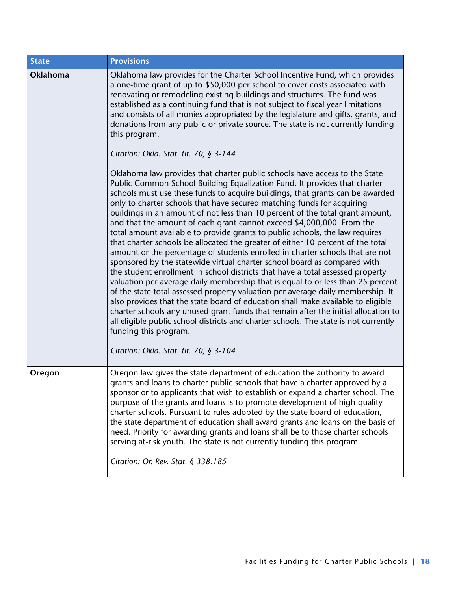| <b>State</b> | <b>Provisions</b>                                                                                                                                                                                                                                                                                                                                                                                                                                                                                                                                                                                                                                                                                                                                                                                                                                                                                                                                                                                                                                                                                                                                                                                                                                                                                                                                                                                                                                   |
|--------------|-----------------------------------------------------------------------------------------------------------------------------------------------------------------------------------------------------------------------------------------------------------------------------------------------------------------------------------------------------------------------------------------------------------------------------------------------------------------------------------------------------------------------------------------------------------------------------------------------------------------------------------------------------------------------------------------------------------------------------------------------------------------------------------------------------------------------------------------------------------------------------------------------------------------------------------------------------------------------------------------------------------------------------------------------------------------------------------------------------------------------------------------------------------------------------------------------------------------------------------------------------------------------------------------------------------------------------------------------------------------------------------------------------------------------------------------------------|
| Oklahoma     | Oklahoma law provides for the Charter School Incentive Fund, which provides<br>a one-time grant of up to \$50,000 per school to cover costs associated with<br>renovating or remodeling existing buildings and structures. The fund was<br>established as a continuing fund that is not subject to fiscal year limitations<br>and consists of all monies appropriated by the legislature and gifts, grants, and<br>donations from any public or private source. The state is not currently funding<br>this program.                                                                                                                                                                                                                                                                                                                                                                                                                                                                                                                                                                                                                                                                                                                                                                                                                                                                                                                                 |
|              | Citation: Okla. Stat. tit. 70, § 3-144<br>Oklahoma law provides that charter public schools have access to the State<br>Public Common School Building Equalization Fund. It provides that charter<br>schools must use these funds to acquire buildings, that grants can be awarded<br>only to charter schools that have secured matching funds for acquiring<br>buildings in an amount of not less than 10 percent of the total grant amount,<br>and that the amount of each grant cannot exceed \$4,000,000. From the<br>total amount available to provide grants to public schools, the law requires<br>that charter schools be allocated the greater of either 10 percent of the total<br>amount or the percentage of students enrolled in charter schools that are not<br>sponsored by the statewide virtual charter school board as compared with<br>the student enrollment in school districts that have a total assessed property<br>valuation per average daily membership that is equal to or less than 25 percent<br>of the state total assessed property valuation per average daily membership. It<br>also provides that the state board of education shall make available to eligible<br>charter schools any unused grant funds that remain after the initial allocation to<br>all eligible public school districts and charter schools. The state is not currently<br>funding this program.<br>Citation: Okla. Stat. tit. 70, § 3-104 |
| Oregon       | Oregon law gives the state department of education the authority to award<br>grants and loans to charter public schools that have a charter approved by a<br>sponsor or to applicants that wish to establish or expand a charter school. The<br>purpose of the grants and loans is to promote development of high-quality<br>charter schools. Pursuant to rules adopted by the state board of education,<br>the state department of education shall award grants and loans on the basis of<br>need. Priority for awarding grants and loans shall be to those charter schools<br>serving at-risk youth. The state is not currently funding this program.<br>Citation: Or. Rev. Stat. § 338.185                                                                                                                                                                                                                                                                                                                                                                                                                                                                                                                                                                                                                                                                                                                                                       |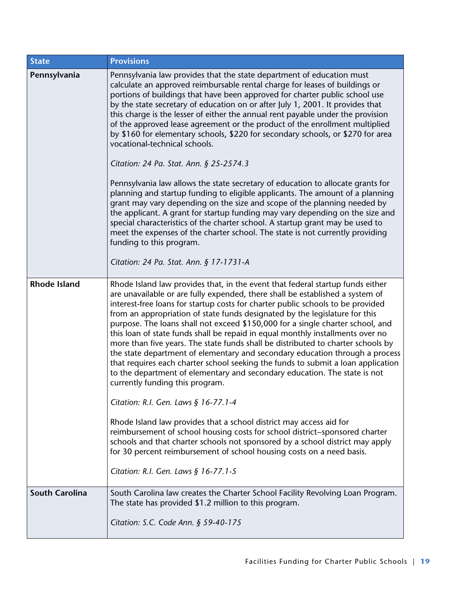| <b>State</b>          | <b>Provisions</b>                                                                                                                                                                                                                                                                                                                                                                                                                                                                                                                                                                                                                                                                                                                                                                                                                                                                                                                                                                                                                                                                                                                                                                                                                                                             |
|-----------------------|-------------------------------------------------------------------------------------------------------------------------------------------------------------------------------------------------------------------------------------------------------------------------------------------------------------------------------------------------------------------------------------------------------------------------------------------------------------------------------------------------------------------------------------------------------------------------------------------------------------------------------------------------------------------------------------------------------------------------------------------------------------------------------------------------------------------------------------------------------------------------------------------------------------------------------------------------------------------------------------------------------------------------------------------------------------------------------------------------------------------------------------------------------------------------------------------------------------------------------------------------------------------------------|
| Pennsylvania          | Pennsylvania law provides that the state department of education must<br>calculate an approved reimbursable rental charge for leases of buildings or<br>portions of buildings that have been approved for charter public school use<br>by the state secretary of education on or after July 1, 2001. It provides that<br>this charge is the lesser of either the annual rent payable under the provision<br>of the approved lease agreement or the product of the enrollment multiplied<br>by \$160 for elementary schools, \$220 for secondary schools, or \$270 for area<br>vocational-technical schools.<br>Citation: 24 Pa. Stat. Ann. § 25-2574.3<br>Pennsylvania law allows the state secretary of education to allocate grants for<br>planning and startup funding to eligible applicants. The amount of a planning<br>grant may vary depending on the size and scope of the planning needed by<br>the applicant. A grant for startup funding may vary depending on the size and<br>special characteristics of the charter school. A startup grant may be used to<br>meet the expenses of the charter school. The state is not currently providing<br>funding to this program.<br>Citation: 24 Pa. Stat. Ann. § 17-1731-A                                              |
| <b>Rhode Island</b>   | Rhode Island law provides that, in the event that federal startup funds either<br>are unavailable or are fully expended, there shall be established a system of<br>interest-free loans for startup costs for charter public schools to be provided<br>from an appropriation of state funds designated by the legislature for this<br>purpose. The loans shall not exceed \$150,000 for a single charter school, and<br>this loan of state funds shall be repaid in equal monthly installments over no<br>more than five years. The state funds shall be distributed to charter schools by<br>the state department of elementary and secondary education through a process<br>that requires each charter school seeking the funds to submit a loan application<br>to the department of elementary and secondary education. The state is not<br>currently funding this program.<br>Citation: R.I. Gen. Laws § 16-77.1-4<br>Rhode Island law provides that a school district may access aid for<br>reimbursement of school housing costs for school district-sponsored charter<br>schools and that charter schools not sponsored by a school district may apply<br>for 30 percent reimbursement of school housing costs on a need basis.<br>Citation: R.I. Gen. Laws § 16-77.1-5 |
| <b>South Carolina</b> | South Carolina law creates the Charter School Facility Revolving Loan Program.<br>The state has provided \$1.2 million to this program.                                                                                                                                                                                                                                                                                                                                                                                                                                                                                                                                                                                                                                                                                                                                                                                                                                                                                                                                                                                                                                                                                                                                       |
|                       | Citation: S.C. Code Ann. § 59-40-175                                                                                                                                                                                                                                                                                                                                                                                                                                                                                                                                                                                                                                                                                                                                                                                                                                                                                                                                                                                                                                                                                                                                                                                                                                          |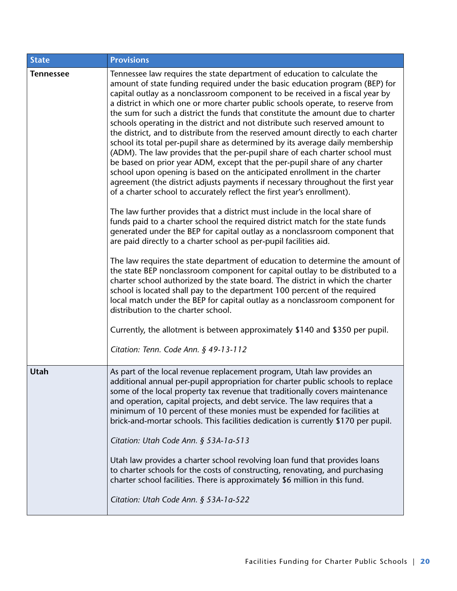| <b>State</b>     | <b>Provisions</b>                                                                                                                                                                                                                                                                                                                                                                                                                                                                                                                                                                                                                                                                                                                                                                                                                                                                                                                                                                                                                                                                                                                                                                                                                                                                                                                                                                                                                                                                                                                                                                                                                                                                                                                                                                                                                                                                                                                                                                         |
|------------------|-------------------------------------------------------------------------------------------------------------------------------------------------------------------------------------------------------------------------------------------------------------------------------------------------------------------------------------------------------------------------------------------------------------------------------------------------------------------------------------------------------------------------------------------------------------------------------------------------------------------------------------------------------------------------------------------------------------------------------------------------------------------------------------------------------------------------------------------------------------------------------------------------------------------------------------------------------------------------------------------------------------------------------------------------------------------------------------------------------------------------------------------------------------------------------------------------------------------------------------------------------------------------------------------------------------------------------------------------------------------------------------------------------------------------------------------------------------------------------------------------------------------------------------------------------------------------------------------------------------------------------------------------------------------------------------------------------------------------------------------------------------------------------------------------------------------------------------------------------------------------------------------------------------------------------------------------------------------------------------------|
| <b>Tennessee</b> | Tennessee law requires the state department of education to calculate the<br>amount of state funding required under the basic education program (BEP) for<br>capital outlay as a nonclassroom component to be received in a fiscal year by<br>a district in which one or more charter public schools operate, to reserve from<br>the sum for such a district the funds that constitute the amount due to charter<br>schools operating in the district and not distribute such reserved amount to<br>the district, and to distribute from the reserved amount directly to each charter<br>school its total per-pupil share as determined by its average daily membership<br>(ADM). The law provides that the per-pupil share of each charter school must<br>be based on prior year ADM, except that the per-pupil share of any charter<br>school upon opening is based on the anticipated enrollment in the charter<br>agreement (the district adjusts payments if necessary throughout the first year<br>of a charter school to accurately reflect the first year's enrollment).<br>The law further provides that a district must include in the local share of<br>funds paid to a charter school the required district match for the state funds<br>generated under the BEP for capital outlay as a nonclassroom component that<br>are paid directly to a charter school as per-pupil facilities aid.<br>The law requires the state department of education to determine the amount of<br>the state BEP nonclassroom component for capital outlay to be distributed to a<br>charter school authorized by the state board. The district in which the charter<br>school is located shall pay to the department 100 percent of the required<br>local match under the BEP for capital outlay as a nonclassroom component for<br>distribution to the charter school.<br>Currently, the allotment is between approximately \$140 and \$350 per pupil.<br>Citation: Tenn. Code Ann. § 49-13-112 |
| Utah             | As part of the local revenue replacement program, Utah law provides an<br>additional annual per-pupil appropriation for charter public schools to replace<br>some of the local property tax revenue that traditionally covers maintenance<br>and operation, capital projects, and debt service. The law requires that a<br>minimum of 10 percent of these monies must be expended for facilities at<br>brick-and-mortar schools. This facilities dedication is currently \$170 per pupil.<br>Citation: Utah Code Ann. § 53A-1a-513<br>Utah law provides a charter school revolving loan fund that provides loans<br>to charter schools for the costs of constructing, renovating, and purchasing<br>charter school facilities. There is approximately \$6 million in this fund.<br>Citation: Utah Code Ann. § 53A-1a-522                                                                                                                                                                                                                                                                                                                                                                                                                                                                                                                                                                                                                                                                                                                                                                                                                                                                                                                                                                                                                                                                                                                                                                  |